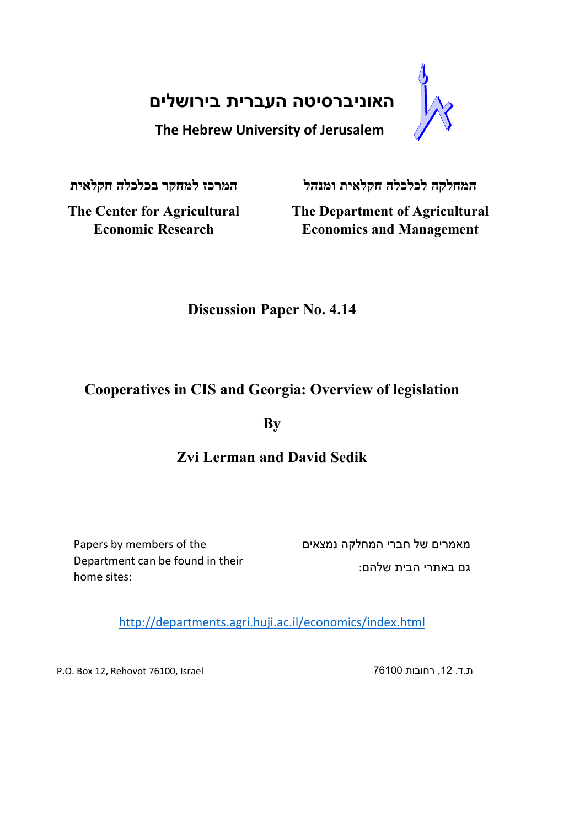**האוניברסיטה העברית בירושלים**

**The Hebrew University of Jerusalem**

**המחלקה לכלכלה חקלאית ומנהל המרכז למחקר בכלכלה חקלאית**

**The Center for Agricultural Economic Research**

**The Department of Agricultural Economics and Management**

# **Discussion Paper No. 4.14**

## **Cooperatives in CIS and Georgia: Overview of legislation**

**By** 

## **Zvi Lerman and David Sedik**

Papers by members of the Department can be found in their home sites:

מאמרים של חברי המחלקה נמצאים גם באתרי הבית שלהם:

http://departments.agri.huji.ac.il/economics/index.html

P.O. Box 12, Rehovot 76100, Israel 76100 רחובות ,12 .ד.ת

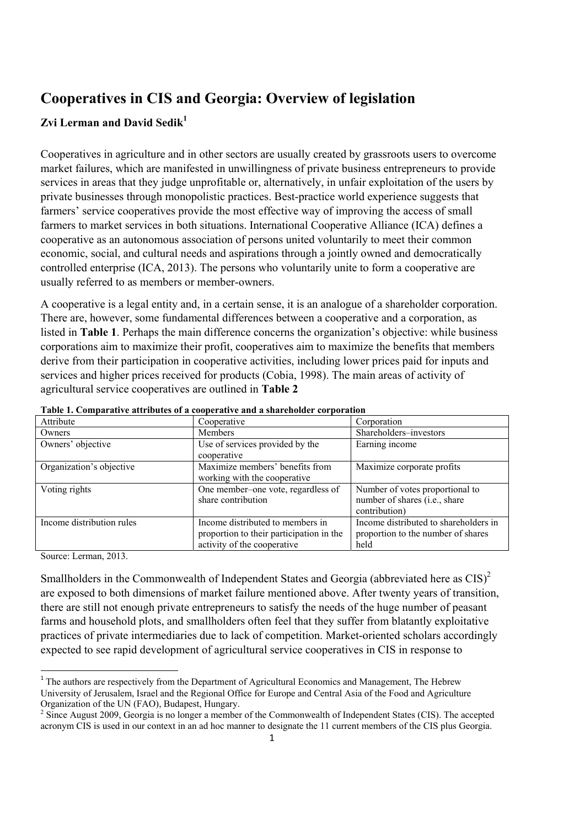## **Cooperatives in CIS and Georgia: Overview of legislation**

## **Zvi Lerman and David Sedik**<sup>1</sup>

Cooperatives in agriculture and in other sectors are usually created by grassroots users to overcome market failures, which are manifested in unwillingness of private business entrepreneurs to provide services in areas that they judge unprofitable or, alternatively, in unfair exploitation of the users by private businesses through monopolistic practices. Best-practice world experience suggests that farmers' service cooperatives provide the most effective way of improving the access of small farmers to market services in both situations. International Cooperative Alliance (ICA) defines a cooperative as an autonomous association of persons united voluntarily to meet their common economic, social, and cultural needs and aspirations through a jointly owned and democratically controlled enterprise (ICA, 2013). The persons who voluntarily unite to form a cooperative are usually referred to as members or member-owners.

A cooperative is a legal entity and, in a certain sense, it is an analogue of a shareholder corporation. There are, however, some fundamental differences between a cooperative and a corporation, as listed in **Table 1**. Perhaps the main difference concerns the organization's objective: while business corporations aim to maximize their profit, cooperatives aim to maximize the benefits that members derive from their participation in cooperative activities, including lower prices paid for inputs and services and higher prices received for products (Cobia, 1998). The main areas of activity of agricultural service cooperatives are outlined in **Table 2**

| Attribute                 | Cooperative                              | Corporation                           |
|---------------------------|------------------------------------------|---------------------------------------|
| Owners                    | <b>Members</b>                           | Shareholders-investors                |
| Owners' objective         | Use of services provided by the          | Earning income                        |
|                           | cooperative                              |                                       |
| Organization's objective  | Maximize members' benefits from          | Maximize corporate profits            |
|                           | working with the cooperative             |                                       |
| Voting rights             | One member-one vote, regardless of       | Number of votes proportional to       |
|                           | share contribution                       | number of shares (i.e., share         |
|                           |                                          | contribution)                         |
| Income distribution rules | Income distributed to members in         | Income distributed to shareholders in |
|                           | proportion to their participation in the | proportion to the number of shares    |
|                           | activity of the cooperative              | held                                  |

**Table 1. Comparative attributes of a cooperative and a shareholder corporation** 

Source: Lerman, 2013.

Smallholders in the Commonwealth of Independent States and Georgia (abbreviated here as  $CIS)^2$ are exposed to both dimensions of market failure mentioned above. After twenty years of transition, there are still not enough private entrepreneurs to satisfy the needs of the huge number of peasant farms and household plots, and smallholders often feel that they suffer from blatantly exploitative practices of private intermediaries due to lack of competition. Market-oriented scholars accordingly expected to see rapid development of agricultural service cooperatives in CIS in response to

<sup>&</sup>lt;sup>1</sup> The authors are respectively from the Department of Agricultural Economics and Management, The Hebrew University of Jerusalem, Israel and the Regional Office for Europe and Central Asia of the Food and Agriculture Organization of the UN (FAO), Budapest, Hungary.

 $2^2$  Since August 2009, Georgia is no longer a member of the Commonwealth of Independent States (CIS). The accepted acronym CIS is used in our context in an ad hoc manner to designate the 11 current members of the CIS plus Georgia.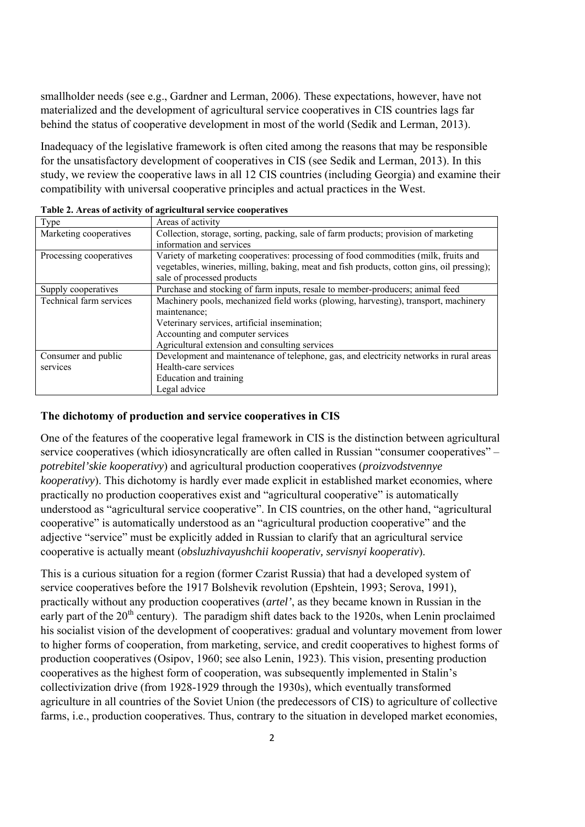smallholder needs (see e.g., Gardner and Lerman, 2006). These expectations, however, have not materialized and the development of agricultural service cooperatives in CIS countries lags far behind the status of cooperative development in most of the world (Sedik and Lerman, 2013).

Inadequacy of the legislative framework is often cited among the reasons that may be responsible for the unsatisfactory development of cooperatives in CIS (see Sedik and Lerman, 2013). In this study, we review the cooperative laws in all 12 CIS countries (including Georgia) and examine their compatibility with universal cooperative principles and actual practices in the West.

| Type                    | Areas of activity                                                                          |
|-------------------------|--------------------------------------------------------------------------------------------|
| Marketing cooperatives  | Collection, storage, sorting, packing, sale of farm products; provision of marketing       |
|                         | information and services                                                                   |
| Processing cooperatives | Variety of marketing cooperatives: processing of food commodities (milk, fruits and        |
|                         | vegetables, wineries, milling, baking, meat and fish products, cotton gins, oil pressing); |
|                         | sale of processed products                                                                 |
| Supply cooperatives     | Purchase and stocking of farm inputs, resale to member-producers; animal feed              |
| Technical farm services | Machinery pools, mechanized field works (plowing, harvesting), transport, machinery        |
|                         | maintenance:                                                                               |
|                         | Veterinary services, artificial insemination;                                              |
|                         | Accounting and computer services                                                           |
|                         | Agricultural extension and consulting services                                             |
| Consumer and public     | Development and maintenance of telephone, gas, and electricity networks in rural areas     |
| services                | Health-care services                                                                       |
|                         | Education and training                                                                     |
|                         | Legal advice                                                                               |

**Table 2. Areas of activity of agricultural service cooperatives** 

## **The dichotomy of production and service cooperatives in CIS**

One of the features of the cooperative legal framework in CIS is the distinction between agricultural service cooperatives (which idiosyncratically are often called in Russian "consumer cooperatives" – *potrebitel'skie kooperativy*) and agricultural production cooperatives (*proizvodstvennye kooperativy*). This dichotomy is hardly ever made explicit in established market economies, where practically no production cooperatives exist and "agricultural cooperative" is automatically understood as "agricultural service cooperative". In CIS countries, on the other hand, "agricultural cooperative" is automatically understood as an "agricultural production cooperative" and the adjective "service" must be explicitly added in Russian to clarify that an agricultural service cooperative is actually meant (*obsluzhivayushchii kooperativ, servisnyi kooperativ*).

This is a curious situation for a region (former Czarist Russia) that had a developed system of service cooperatives before the 1917 Bolshevik revolution (Epshtein, 1993; Serova, 1991), practically without any production cooperatives (*artel'*, as they became known in Russian in the early part of the  $20<sup>th</sup>$  century). The paradigm shift dates back to the 1920s, when Lenin proclaimed his socialist vision of the development of cooperatives: gradual and voluntary movement from lower to higher forms of cooperation, from marketing, service, and credit cooperatives to highest forms of production cooperatives (Osipov, 1960; see also Lenin, 1923). This vision, presenting production cooperatives as the highest form of cooperation, was subsequently implemented in Stalin's collectivization drive (from 1928-1929 through the 1930s), which eventually transformed agriculture in all countries of the Soviet Union (the predecessors of CIS) to agriculture of collective farms, i.e., production cooperatives. Thus, contrary to the situation in developed market economies,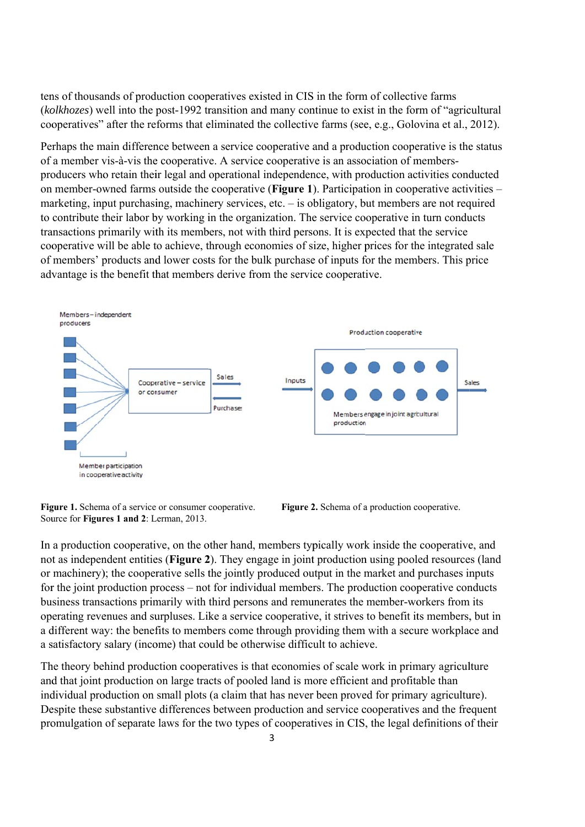tens of thousands of production cooperatives existed in CIS in the form of collective farms (kolkhozes) well into the post-1992 transition and many continue to exist in the form of "agricultural" cooperatives" after the reforms that eliminated the collective farms (see, e.g., Golovina et al., 2012).

Perhaps the main difference between a service cooperative and a production cooperative is the status of a member vis-à-vis the cooperative. A service cooperative is an association of membersproducers who retain their legal and operational independence, with production activities conducted on member-owned farms outside the cooperative (**Figure 1**). Participation in cooperative activities – marketing, input purchasing, machinery services, etc. - is obligatory, but members are not required to contribute their labor by working in the organization. The service cooperative in turn conducts transactions primarily with its members, not with third persons. It is expected that the service cooperative will be able to achieve, through economies of size, higher prices for the integrated sale of members' products and lower costs for the bulk purchase of inputs for the members. This price advantage is the benefit that members derive from the service cooperative.



Figure 1. Schema of a service or consumer cooperative. Source for **Figures 1 and 2**: Lerman, 2013.



In a production cooperative, on the other hand, members typically work inside the cooperative, and not as independent entities (**Figure 2**). They engage in joint production using pooled resources (land or machinery); the cooperative sells the jointly produced output in the market and purchases inputs for the joint production process – not for individual members. The production cooperative conducts business transactions primarily with third persons and remunerates the member-workers from its operating revenues and surpluses. Like a service cooperative, it strives to benefit its members, but in a different way: the benefits to members come through providing them with a secure workplace and a satisfactory salary (income) that could be otherwise difficult to achieve.

The theory behind production cooperatives is that economies of scale work in primary agriculture and that joint production on large tracts of pooled land is more efficient and profitable than individual production on small plots (a claim that has never been proved for primary agriculture). Despite these substantive differences between production and service cooperatives and the frequent promulgation of separate laws for the two types of cooperatives in CIS, the legal definitions of their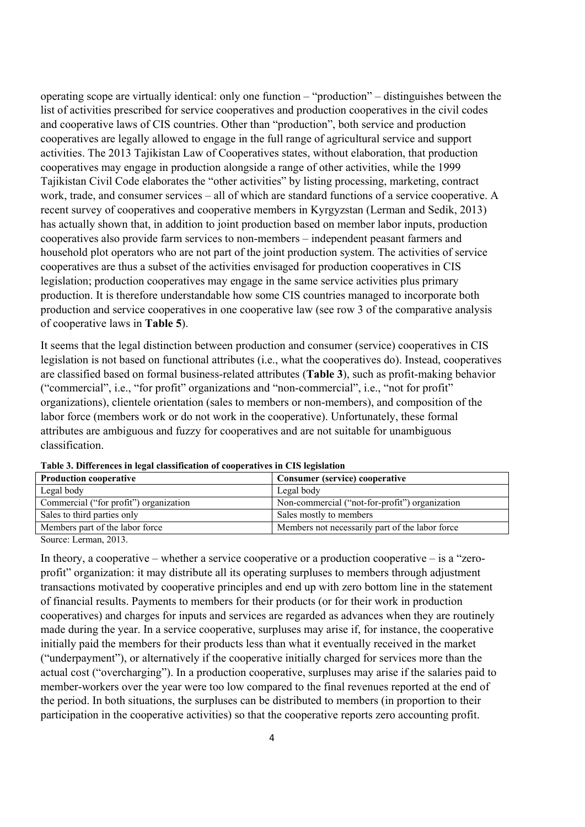operating scope are virtually identical: only one function – "production" – distinguishes between the list of activities prescribed for service cooperatives and production cooperatives in the civil codes and cooperative laws of CIS countries. Other than "production", both service and production cooperatives are legally allowed to engage in the full range of agricultural service and support activities. The 2013 Tajikistan Law of Cooperatives states, without elaboration, that production cooperatives may engage in production alongside a range of other activities, while the 1999 Tajikistan Civil Code elaborates the "other activities" by listing processing, marketing, contract work, trade, and consumer services – all of which are standard functions of a service cooperative. A recent survey of cooperatives and cooperative members in Kyrgyzstan (Lerman and Sedik, 2013) has actually shown that, in addition to joint production based on member labor inputs, production cooperatives also provide farm services to non-members – independent peasant farmers and household plot operators who are not part of the joint production system. The activities of service cooperatives are thus a subset of the activities envisaged for production cooperatives in CIS legislation; production cooperatives may engage in the same service activities plus primary production. It is therefore understandable how some CIS countries managed to incorporate both production and service cooperatives in one cooperative law (see row 3 of the comparative analysis of cooperative laws in **Table 5**).

It seems that the legal distinction between production and consumer (service) cooperatives in CIS legislation is not based on functional attributes (i.e., what the cooperatives do). Instead, cooperatives are classified based on formal business-related attributes (**Table 3**), such as profit-making behavior ("commercial", i.e., "for profit" organizations and "non-commercial", i.e., "not for profit" organizations), clientele orientation (sales to members or non-members), and composition of the labor force (members work or do not work in the cooperative). Unfortunately, these formal attributes are ambiguous and fuzzy for cooperatives and are not suitable for unambiguous classification.

| <b>Production cooperative</b>           | Consumer (service) cooperative                  |
|-----------------------------------------|-------------------------------------------------|
| Legal body                              | Legal body                                      |
| Commercial ("for profit") organization  | Non-commercial ("not-for-profit") organization  |
| Sales to third parties only             | Sales mostly to members                         |
| Members part of the labor force         | Members not necessarily part of the labor force |
| $\alpha$ , $\beta$ , $\alpha$ , $\beta$ |                                                 |

**Table 3. Differences in legal classification of cooperatives in CIS legislation** 

Source: Lerman, 2013.

In theory, a cooperative – whether a service cooperative or a production cooperative – is a "zeroprofit" organization: it may distribute all its operating surpluses to members through adjustment transactions motivated by cooperative principles and end up with zero bottom line in the statement of financial results. Payments to members for their products (or for their work in production cooperatives) and charges for inputs and services are regarded as advances when they are routinely made during the year. In a service cooperative, surpluses may arise if, for instance, the cooperative initially paid the members for their products less than what it eventually received in the market ("underpayment"), or alternatively if the cooperative initially charged for services more than the actual cost ("overcharging"). In a production cooperative, surpluses may arise if the salaries paid to member-workers over the year were too low compared to the final revenues reported at the end of the period. In both situations, the surpluses can be distributed to members (in proportion to their participation in the cooperative activities) so that the cooperative reports zero accounting profit.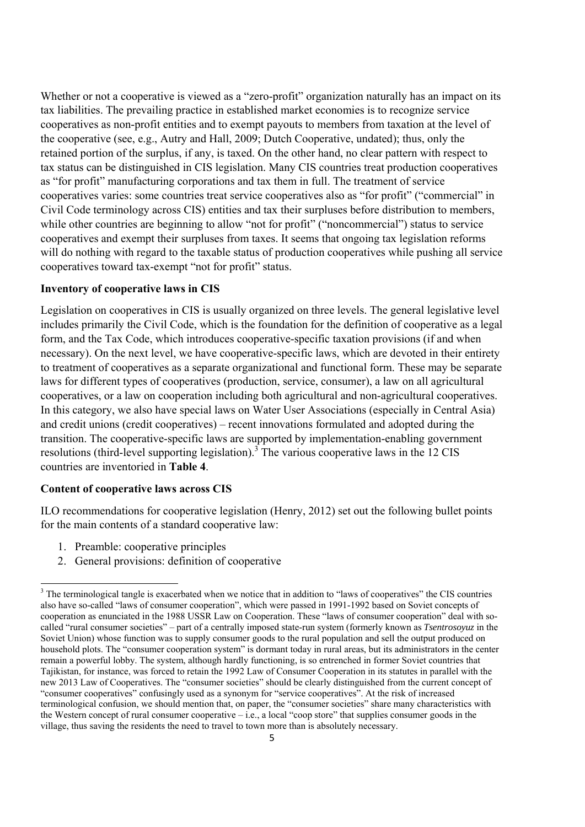Whether or not a cooperative is viewed as a "zero-profit" organization naturally has an impact on its tax liabilities. The prevailing practice in established market economies is to recognize service cooperatives as non-profit entities and to exempt payouts to members from taxation at the level of the cooperative (see, e.g., Autry and Hall, 2009; Dutch Cooperative, undated); thus, only the retained portion of the surplus, if any, is taxed. On the other hand, no clear pattern with respect to tax status can be distinguished in CIS legislation. Many CIS countries treat production cooperatives as "for profit" manufacturing corporations and tax them in full. The treatment of service cooperatives varies: some countries treat service cooperatives also as "for profit" ("commercial" in Civil Code terminology across CIS) entities and tax their surpluses before distribution to members, while other countries are beginning to allow "not for profit" ("noncommercial") status to service cooperatives and exempt their surpluses from taxes. It seems that ongoing tax legislation reforms will do nothing with regard to the taxable status of production cooperatives while pushing all service cooperatives toward tax-exempt "not for profit" status.

## **Inventory of cooperative laws in CIS**

Legislation on cooperatives in CIS is usually organized on three levels. The general legislative level includes primarily the Civil Code, which is the foundation for the definition of cooperative as a legal form, and the Tax Code, which introduces cooperative-specific taxation provisions (if and when necessary). On the next level, we have cooperative-specific laws, which are devoted in their entirety to treatment of cooperatives as a separate organizational and functional form. These may be separate laws for different types of cooperatives (production, service, consumer), a law on all agricultural cooperatives, or a law on cooperation including both agricultural and non-agricultural cooperatives. In this category, we also have special laws on Water User Associations (especially in Central Asia) and credit unions (credit cooperatives) – recent innovations formulated and adopted during the transition. The cooperative-specific laws are supported by implementation-enabling government resolutions (third-level supporting legislation).<sup>3</sup> The various cooperative laws in the 12 CIS countries are inventoried in **Table 4**.

## **Content of cooperative laws across CIS**

ILO recommendations for cooperative legislation (Henry, 2012) set out the following bullet points for the main contents of a standard cooperative law:

1. Preamble: cooperative principles

2. General provisions: definition of cooperative

 $3$  The terminological tangle is exacerbated when we notice that in addition to "laws of cooperatives" the CIS countries also have so-called "laws of consumer cooperation", which were passed in 1991-1992 based on Soviet concepts of cooperation as enunciated in the 1988 USSR Law on Cooperation. These "laws of consumer cooperation" deal with socalled "rural consumer societies" – part of a centrally imposed state-run system (formerly known as *Tsentrosoyuz* in the Soviet Union) whose function was to supply consumer goods to the rural population and sell the output produced on household plots. The "consumer cooperation system" is dormant today in rural areas, but its administrators in the center remain a powerful lobby. The system, although hardly functioning, is so entrenched in former Soviet countries that Tajikistan, for instance, was forced to retain the 1992 Law of Consumer Cooperation in its statutes in parallel with the new 2013 Law of Cooperatives. The "consumer societies" should be clearly distinguished from the current concept of "consumer cooperatives" confusingly used as a synonym for "service cooperatives". At the risk of increased terminological confusion, we should mention that, on paper, the "consumer societies" share many characteristics with the Western concept of rural consumer cooperative – i.e., a local "coop store" that supplies consumer goods in the village, thus saving the residents the need to travel to town more than is absolutely necessary.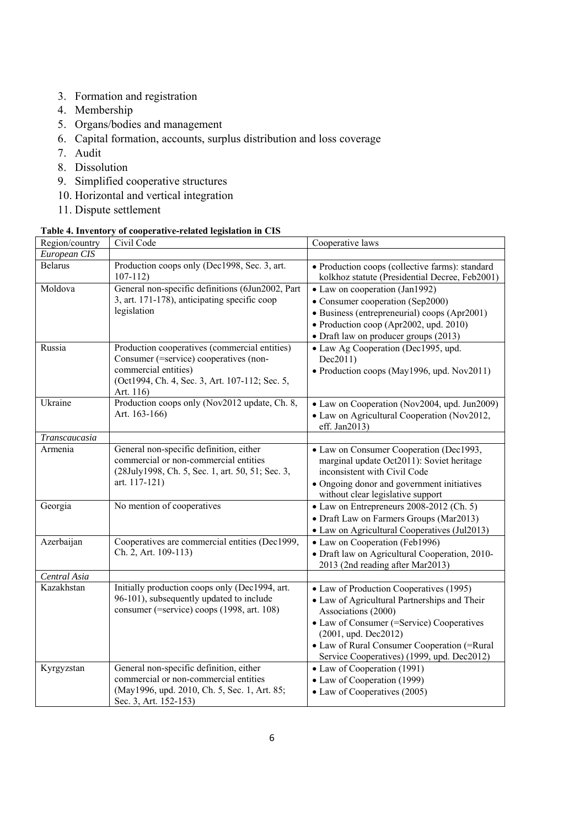- 3. Formation and registration
- 4. Membership
- 5. Organs/bodies and management
- 6. Capital formation, accounts, surplus distribution and loss coverage
- 7. Audit
- 8. Dissolution
- 9. Simplified cooperative structures
- 10. Horizontal and vertical integration
- 11. Dispute settlement

## **Table 4. Inventory of cooperative-related legislation in CIS**

| Region/country | Civil Code                                                                                                                                                                     | Cooperative laws                                                                                                                                                                                                                                                                      |
|----------------|--------------------------------------------------------------------------------------------------------------------------------------------------------------------------------|---------------------------------------------------------------------------------------------------------------------------------------------------------------------------------------------------------------------------------------------------------------------------------------|
| European CIS   |                                                                                                                                                                                |                                                                                                                                                                                                                                                                                       |
| <b>Belarus</b> | Production coops only (Dec1998, Sec. 3, art.<br>$107 - 112$                                                                                                                    | • Production coops (collective farms): standard<br>kolkhoz statute (Presidential Decree, Feb2001)                                                                                                                                                                                     |
| Moldova        | General non-specific definitions (6Jun2002, Part<br>3, art. 171-178), anticipating specific coop<br>legislation                                                                | • Law on cooperation (Jan1992)<br>• Consumer cooperation (Sep2000)<br>• Business (entrepreneurial) coops (Apr2001)<br>• Production coop (Apr2002, upd. 2010)<br>• Draft law on producer groups (2013)                                                                                 |
| Russia         | Production cooperatives (commercial entities)<br>Consumer (=service) cooperatives (non-<br>commercial entities)<br>(Oct1994, Ch. 4, Sec. 3, Art. 107-112; Sec. 5,<br>Art. 116) | • Law Ag Cooperation (Dec1995, upd.<br>Dec2011)<br>• Production coops (May1996, upd. Nov2011)                                                                                                                                                                                         |
| Ukraine        | Production coops only (Nov2012 update, Ch. 8,<br>Art. 163-166)                                                                                                                 | • Law on Cooperation (Nov2004, upd. Jun2009)<br>• Law on Agricultural Cooperation (Nov2012,<br>eff. Jan2013)                                                                                                                                                                          |
| Transcaucasia  |                                                                                                                                                                                |                                                                                                                                                                                                                                                                                       |
| Armenia        | General non-specific definition, either<br>commercial or non-commercial entities<br>(28July1998, Ch. 5, Sec. 1, art. 50, 51; Sec. 3,<br>art. 117-121)                          | • Law on Consumer Cooperation (Dec1993,<br>marginal update Oct2011): Soviet heritage<br>inconsistent with Civil Code<br>• Ongoing donor and government initiatives<br>without clear legislative support                                                                               |
| Georgia        | No mention of cooperatives                                                                                                                                                     | • Law on Entrepreneurs 2008-2012 (Ch. 5)<br>• Draft Law on Farmers Groups (Mar2013)<br>• Law on Agricultural Cooperatives (Jul2013)                                                                                                                                                   |
| Azerbaijan     | Cooperatives are commercial entities (Dec1999,<br>Ch. 2, Art. 109-113)                                                                                                         | • Law on Cooperation (Feb1996)<br>• Draft law on Agricultural Cooperation, 2010-<br>2013 (2nd reading after Mar2013)                                                                                                                                                                  |
| Central Asia   |                                                                                                                                                                                |                                                                                                                                                                                                                                                                                       |
| Kazakhstan     | Initially production coops only (Dec1994, art.<br>96-101), subsequently updated to include<br>consumer (=service) coops (1998, art. 108)                                       | • Law of Production Cooperatives (1995)<br>• Law of Agricultural Partnerships and Their<br>Associations (2000)<br>• Law of Consumer (=Service) Cooperatives<br>$(2001,$ upd. Dec $2012)$<br>• Law of Rural Consumer Cooperation (=Rural<br>Service Cooperatives) (1999, upd. Dec2012) |
| Kyrgyzstan     | General non-specific definition, either<br>commercial or non-commercial entities<br>(May1996, upd. 2010, Ch. 5, Sec. 1, Art. 85;<br>Sec. 3, Art. 152-153)                      | • Law of Cooperation (1991)<br>• Law of Cooperation (1999)<br>• Law of Cooperatives (2005)                                                                                                                                                                                            |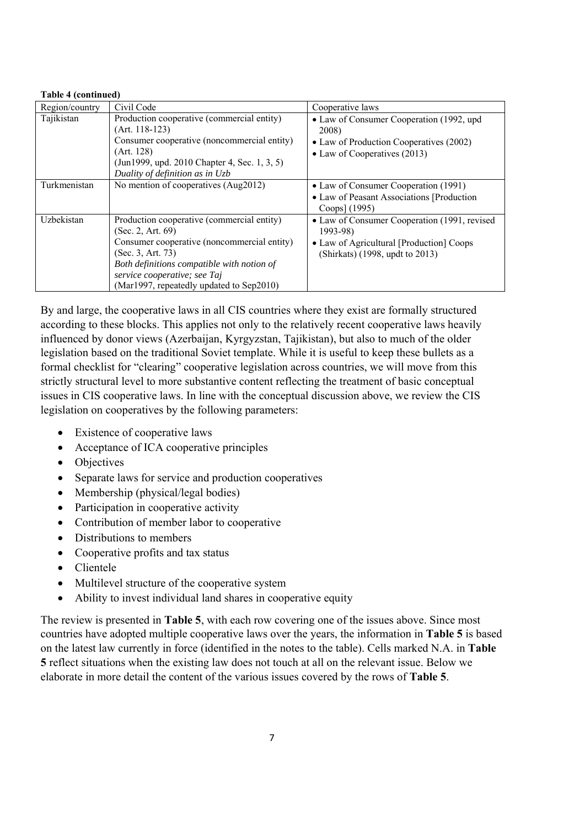### **Table 4 (continued)**

| Region/country | Civil Code                                                                                                                                                                                                                                                    | Cooperative laws                                                                                                                           |
|----------------|---------------------------------------------------------------------------------------------------------------------------------------------------------------------------------------------------------------------------------------------------------------|--------------------------------------------------------------------------------------------------------------------------------------------|
| Tajikistan     | Production cooperative (commercial entity)<br>(Art. 118-123)<br>Consumer cooperative (noncommercial entity)<br>(Art. 128)<br>(Jun1999, upd. 2010 Chapter 4, Sec. 1, 3, 5)<br>Duality of definition as in Uzb                                                  | • Law of Consumer Cooperation (1992, upd<br>2008)<br>• Law of Production Cooperatives (2002)<br>• Law of Cooperatives $(2013)$             |
| Turkmenistan   | No mention of cooperatives (Aug2012)                                                                                                                                                                                                                          | • Law of Consumer Cooperation (1991)<br>• Law of Peasant Associations [Production<br>Coops] (1995)                                         |
| Uzbekistan     | Production cooperative (commercial entity)<br>(Sec. 2, Art. 69)<br>Consumer cooperative (noncommercial entity)<br>(Sec. 3, Art. 73)<br>Both definitions compatible with notion of<br>service cooperative; see Taj<br>(Mar1997, repeatedly updated to Sep2010) | • Law of Consumer Cooperation (1991, revised<br>$1993 - 98$<br>• Law of Agricultural [Production] Coops<br>(Shirkats) (1998, updt to 2013) |

By and large, the cooperative laws in all CIS countries where they exist are formally structured according to these blocks. This applies not only to the relatively recent cooperative laws heavily influenced by donor views (Azerbaijan, Kyrgyzstan, Tajikistan), but also to much of the older legislation based on the traditional Soviet template. While it is useful to keep these bullets as a formal checklist for "clearing" cooperative legislation across countries, we will move from this strictly structural level to more substantive content reflecting the treatment of basic conceptual issues in CIS cooperative laws. In line with the conceptual discussion above, we review the CIS legislation on cooperatives by the following parameters:

- Existence of cooperative laws
- Acceptance of ICA cooperative principles
- Objectives
- Separate laws for service and production cooperatives
- Membership (physical/legal bodies)
- Participation in cooperative activity
- Contribution of member labor to cooperative
- Distributions to members
- Cooperative profits and tax status
- Clientele
- Multilevel structure of the cooperative system
- Ability to invest individual land shares in cooperative equity

The review is presented in **Table 5**, with each row covering one of the issues above. Since most countries have adopted multiple cooperative laws over the years, the information in **Table 5** is based on the latest law currently in force (identified in the notes to the table). Cells marked N.A. in **Table 5** reflect situations when the existing law does not touch at all on the relevant issue. Below we elaborate in more detail the content of the various issues covered by the rows of **Table 5**.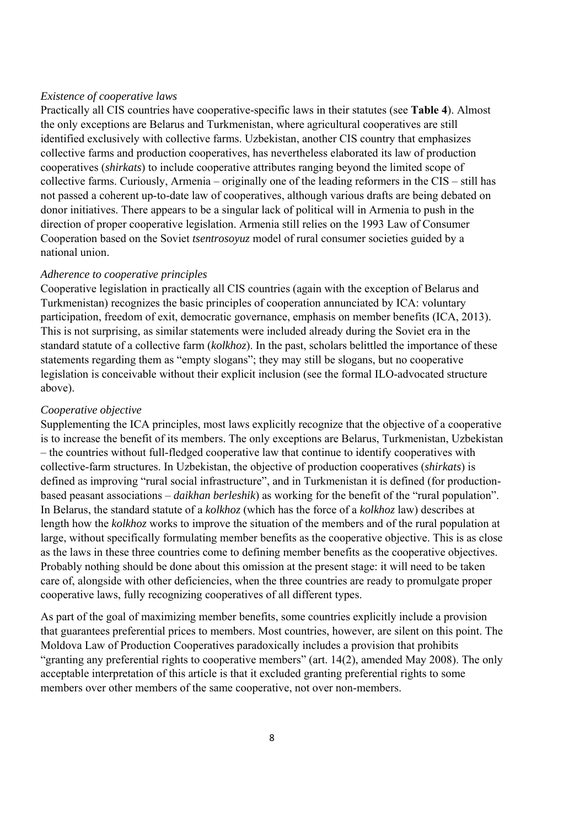## *Existence of cooperative laws*

Practically all CIS countries have cooperative-specific laws in their statutes (see **Table 4**). Almost the only exceptions are Belarus and Turkmenistan, where agricultural cooperatives are still identified exclusively with collective farms. Uzbekistan, another CIS country that emphasizes collective farms and production cooperatives, has nevertheless elaborated its law of production cooperatives (*shirkats*) to include cooperative attributes ranging beyond the limited scope of collective farms. Curiously, Armenia – originally one of the leading reformers in the CIS – still has not passed a coherent up-to-date law of cooperatives, although various drafts are being debated on donor initiatives. There appears to be a singular lack of political will in Armenia to push in the direction of proper cooperative legislation. Armenia still relies on the 1993 Law of Consumer Cooperation based on the Soviet *tsentrosoyuz* model of rural consumer societies guided by a national union.

## *Adherence to cooperative principles*

Cooperative legislation in practically all CIS countries (again with the exception of Belarus and Turkmenistan) recognizes the basic principles of cooperation annunciated by ICA: voluntary participation, freedom of exit, democratic governance, emphasis on member benefits (ICA, 2013). This is not surprising, as similar statements were included already during the Soviet era in the standard statute of a collective farm (*kolkhoz*). In the past, scholars belittled the importance of these statements regarding them as "empty slogans"; they may still be slogans, but no cooperative legislation is conceivable without their explicit inclusion (see the formal ILO-advocated structure above).

### *Cooperative objective*

Supplementing the ICA principles, most laws explicitly recognize that the objective of a cooperative is to increase the benefit of its members. The only exceptions are Belarus, Turkmenistan, Uzbekistan – the countries without full-fledged cooperative law that continue to identify cooperatives with collective-farm structures. In Uzbekistan, the objective of production cooperatives (*shirkats*) is defined as improving "rural social infrastructure", and in Turkmenistan it is defined (for productionbased peasant associations – *daikhan berleshik*) as working for the benefit of the "rural population". In Belarus, the standard statute of a *kolkhoz* (which has the force of a *kolkhoz* law) describes at length how the *kolkhoz* works to improve the situation of the members and of the rural population at large, without specifically formulating member benefits as the cooperative objective. This is as close as the laws in these three countries come to defining member benefits as the cooperative objectives. Probably nothing should be done about this omission at the present stage: it will need to be taken care of, alongside with other deficiencies, when the three countries are ready to promulgate proper cooperative laws, fully recognizing cooperatives of all different types.

As part of the goal of maximizing member benefits, some countries explicitly include a provision that guarantees preferential prices to members. Most countries, however, are silent on this point. The Moldova Law of Production Cooperatives paradoxically includes a provision that prohibits "granting any preferential rights to cooperative members" (art. 14(2), amended May 2008). The only acceptable interpretation of this article is that it excluded granting preferential rights to some members over other members of the same cooperative, not over non-members.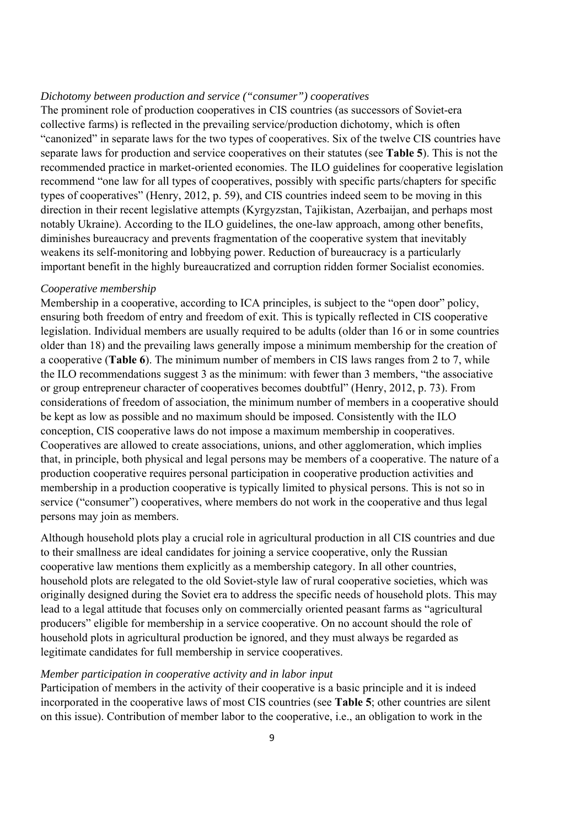## *Dichotomy between production and service ("consumer") cooperatives*

The prominent role of production cooperatives in CIS countries (as successors of Soviet-era collective farms) is reflected in the prevailing service/production dichotomy, which is often "canonized" in separate laws for the two types of cooperatives. Six of the twelve CIS countries have separate laws for production and service cooperatives on their statutes (see **Table 5**). This is not the recommended practice in market-oriented economies. The ILO guidelines for cooperative legislation recommend "one law for all types of cooperatives, possibly with specific parts/chapters for specific types of cooperatives" (Henry, 2012, p. 59), and CIS countries indeed seem to be moving in this direction in their recent legislative attempts (Kyrgyzstan, Tajikistan, Azerbaijan, and perhaps most notably Ukraine). According to the ILO guidelines, the one-law approach, among other benefits, diminishes bureaucracy and prevents fragmentation of the cooperative system that inevitably weakens its self-monitoring and lobbying power. Reduction of bureaucracy is a particularly important benefit in the highly bureaucratized and corruption ridden former Socialist economies.

#### *Cooperative membership*

Membership in a cooperative, according to ICA principles, is subject to the "open door" policy, ensuring both freedom of entry and freedom of exit. This is typically reflected in CIS cooperative legislation. Individual members are usually required to be adults (older than 16 or in some countries older than 18) and the prevailing laws generally impose a minimum membership for the creation of a cooperative (**Table 6**). The minimum number of members in CIS laws ranges from 2 to 7, while the ILO recommendations suggest 3 as the minimum: with fewer than 3 members, "the associative or group entrepreneur character of cooperatives becomes doubtful" (Henry, 2012, p. 73). From considerations of freedom of association, the minimum number of members in a cooperative should be kept as low as possible and no maximum should be imposed. Consistently with the ILO conception, CIS cooperative laws do not impose a maximum membership in cooperatives. Cooperatives are allowed to create associations, unions, and other agglomeration, which implies that, in principle, both physical and legal persons may be members of a cooperative. The nature of a production cooperative requires personal participation in cooperative production activities and membership in a production cooperative is typically limited to physical persons. This is not so in service ("consumer") cooperatives, where members do not work in the cooperative and thus legal persons may join as members.

Although household plots play a crucial role in agricultural production in all CIS countries and due to their smallness are ideal candidates for joining a service cooperative, only the Russian cooperative law mentions them explicitly as a membership category. In all other countries, household plots are relegated to the old Soviet-style law of rural cooperative societies, which was originally designed during the Soviet era to address the specific needs of household plots. This may lead to a legal attitude that focuses only on commercially oriented peasant farms as "agricultural producers" eligible for membership in a service cooperative. On no account should the role of household plots in agricultural production be ignored, and they must always be regarded as legitimate candidates for full membership in service cooperatives.

## *Member participation in cooperative activity and in labor input*

Participation of members in the activity of their cooperative is a basic principle and it is indeed incorporated in the cooperative laws of most CIS countries (see **Table 5**; other countries are silent on this issue). Contribution of member labor to the cooperative, i.e., an obligation to work in the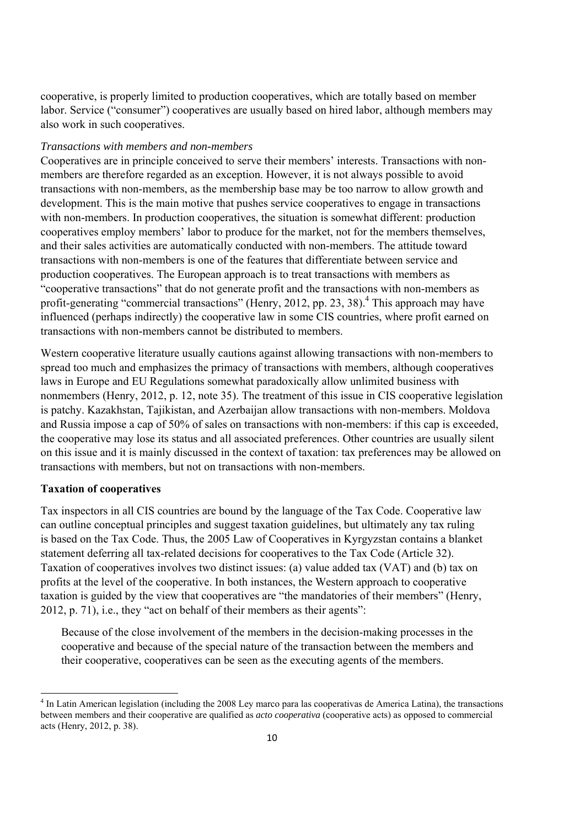cooperative, is properly limited to production cooperatives, which are totally based on member labor. Service ("consumer") cooperatives are usually based on hired labor, although members may also work in such cooperatives.

## *Transactions with members and non-members*

Cooperatives are in principle conceived to serve their members' interests. Transactions with nonmembers are therefore regarded as an exception. However, it is not always possible to avoid transactions with non-members, as the membership base may be too narrow to allow growth and development. This is the main motive that pushes service cooperatives to engage in transactions with non-members. In production cooperatives, the situation is somewhat different: production cooperatives employ members' labor to produce for the market, not for the members themselves, and their sales activities are automatically conducted with non-members. The attitude toward transactions with non-members is one of the features that differentiate between service and production cooperatives. The European approach is to treat transactions with members as "cooperative transactions" that do not generate profit and the transactions with non-members as profit-generating "commercial transactions" (Henry, 2012, pp. 23, 38).<sup>4</sup> This approach may have influenced (perhaps indirectly) the cooperative law in some CIS countries, where profit earned on transactions with non-members cannot be distributed to members.

Western cooperative literature usually cautions against allowing transactions with non-members to spread too much and emphasizes the primacy of transactions with members, although cooperatives laws in Europe and EU Regulations somewhat paradoxically allow unlimited business with nonmembers (Henry, 2012, p. 12, note 35). The treatment of this issue in CIS cooperative legislation is patchy. Kazakhstan, Tajikistan, and Azerbaijan allow transactions with non-members. Moldova and Russia impose a cap of 50% of sales on transactions with non-members: if this cap is exceeded, the cooperative may lose its status and all associated preferences. Other countries are usually silent on this issue and it is mainly discussed in the context of taxation: tax preferences may be allowed on transactions with members, but not on transactions with non-members.

## **Taxation of cooperatives**

Tax inspectors in all CIS countries are bound by the language of the Tax Code. Cooperative law can outline conceptual principles and suggest taxation guidelines, but ultimately any tax ruling is based on the Tax Code. Thus, the 2005 Law of Cooperatives in Kyrgyzstan contains a blanket statement deferring all tax-related decisions for cooperatives to the Tax Code (Article 32). Taxation of cooperatives involves two distinct issues: (a) value added tax (VAT) and (b) tax on profits at the level of the cooperative. In both instances, the Western approach to cooperative taxation is guided by the view that cooperatives are "the mandatories of their members" (Henry, 2012, p. 71), i.e., they "act on behalf of their members as their agents":

Because of the close involvement of the members in the decision-making processes in the cooperative and because of the special nature of the transaction between the members and their cooperative, cooperatives can be seen as the executing agents of the members.

 <sup>4</sup> In Latin American legislation (including the 2008 Ley marco para las cooperativas de America Latina), the transactions between members and their cooperative are qualified as *acto cooperativa* (cooperative acts) as opposed to commercial acts (Henry, 2012, p. 38).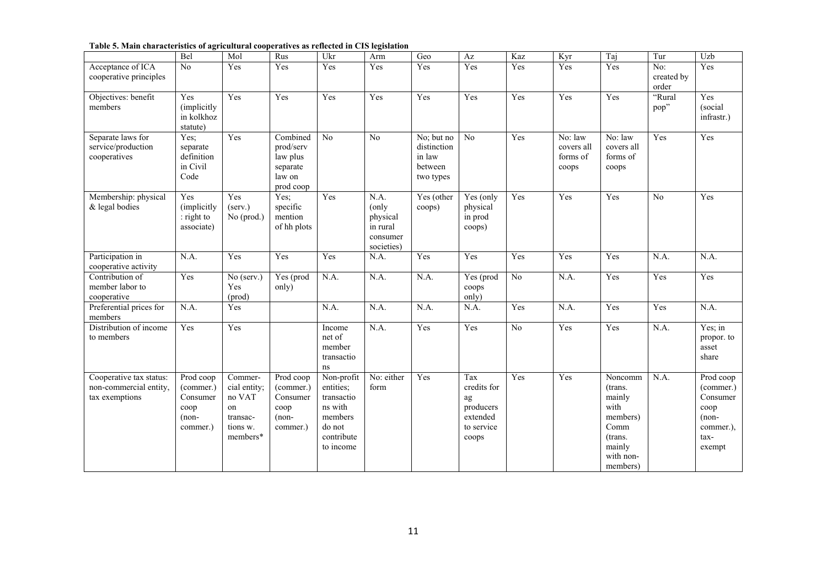#### **Table 5. Main characteristics of agricultural cooperatives as reflected in CIS legislation**

|                                                                     | Bel                                                               | Mol                                                                            | Rus                                                                  | Ukr                                                                                              | Arm                                                             | Geo                                                         | $\mathbf{A}\mathbf{z}$                                                   | Kaz               | Kyr                                                            | Taj                                                                                                                         | Tur                        | Uzb                                                                                  |
|---------------------------------------------------------------------|-------------------------------------------------------------------|--------------------------------------------------------------------------------|----------------------------------------------------------------------|--------------------------------------------------------------------------------------------------|-----------------------------------------------------------------|-------------------------------------------------------------|--------------------------------------------------------------------------|-------------------|----------------------------------------------------------------|-----------------------------------------------------------------------------------------------------------------------------|----------------------------|--------------------------------------------------------------------------------------|
| Acceptance of ICA<br>cooperative principles                         | No                                                                | Yes                                                                            | Yes                                                                  | Yes                                                                                              | Yes                                                             | Yes                                                         | Yes                                                                      | Yes               | Yes                                                            | Yes                                                                                                                         | No:<br>created by<br>order | Yes                                                                                  |
| Objectives: benefit<br>members                                      | Yes<br>(implicitly<br>in kolkhoz<br>statute)                      | Yes                                                                            | Yes                                                                  | Yes                                                                                              | Yes                                                             | Yes                                                         | Yes                                                                      | Yes               | Yes                                                            | Yes                                                                                                                         | "Rural<br>pop"             | Yes<br>(social<br>infrastr.)                                                         |
| Separate laws for<br>service/production<br>cooperatives             | Yes:<br>separate<br>definition<br>in Civil<br>Code                | Yes                                                                            | Combined<br>prod/serv<br>law plus<br>separate<br>law on<br>prod coop | No                                                                                               | N <sub>o</sub>                                                  | No; but no<br>distinction<br>in law<br>between<br>two types | No                                                                       | Yes               | $\overline{\text{No:}}$ law<br>covers all<br>forms of<br>coops | No: law<br>covers all<br>forms of<br>coops                                                                                  | Yes                        | Yes                                                                                  |
| Membership: physical<br>& legal bodies                              | Yes<br>(implicitly<br>: right to<br>associate)                    | Yes<br>(serv.)<br>No (prod.)                                                   | Yes;<br>specific<br>mention<br>of hh plots                           | Yes                                                                                              | N.A.<br>(only<br>physical<br>in rural<br>consumer<br>societies) | Yes (other<br>coops)                                        | Yes (only<br>physical<br>in prod<br>coops)                               | $\overline{Y}$ es | Yes                                                            | Yes                                                                                                                         | N <sub>0</sub>             | Yes                                                                                  |
| Participation in<br>cooperative activity                            | N.A.                                                              | Yes                                                                            | Yes                                                                  | Yes                                                                                              | N.A.                                                            | Yes                                                         | Yes                                                                      | Yes               | Yes                                                            | Yes                                                                                                                         | N.A.                       | N.A.                                                                                 |
| Contribution of<br>member labor to<br>cooperative                   | Yes                                                               | $\overline{No}$ (serv.)<br>Yes<br>(prod)                                       | $Yes$ (prod<br>only)                                                 | N.A.                                                                                             | N.A.                                                            | N.A.                                                        | Yes (prod<br>coops<br>only)                                              | N <sub>0</sub>    | N.A.                                                           | Yes                                                                                                                         | Yes                        | Yes                                                                                  |
| Preferential prices for<br>members                                  | N.A.                                                              | Yes                                                                            |                                                                      | N.A.                                                                                             | N.A.                                                            | N.A.                                                        | N.A.                                                                     | Yes               | N.A.                                                           | Yes                                                                                                                         | Yes                        | N.A.                                                                                 |
| Distribution of income<br>to members                                | Yes                                                               | Yes                                                                            |                                                                      | Income<br>net of<br>member<br>transactio<br>ns                                                   | N.A.                                                            | Yes                                                         | Yes                                                                      | No                | Yes                                                            | Yes                                                                                                                         | N.A.                       | Yes; in<br>propor. to<br>asset<br>share                                              |
| Cooperative tax status:<br>non-commercial entity,<br>tax exemptions | Prod coop<br>(commer.)<br>Consumer<br>coop<br>$(non-$<br>commer.) | Commer-<br>cial entity;<br>no VAT<br>on<br>transac-<br>tions w.<br>$members^*$ | Prod coop<br>(commer.)<br>Consumer<br>coop<br>$(non-$<br>commer.)    | Non-profit<br>entities;<br>transactio<br>ns with<br>members<br>do not<br>contribute<br>to income | No: either<br>form                                              | Yes                                                         | Tax<br>credits for<br>ag<br>producers<br>extended<br>to service<br>coops | Yes               | Yes                                                            | $\overline{\text{Noncomm}}$<br>(trans.<br>mainly<br>with<br>members)<br>Comm<br>(trans.)<br>mainly<br>with non-<br>members) | N.A.                       | Prod coop<br>(commer.)<br>Consumer<br>coop<br>$(non-$<br>commer.),<br>tax-<br>exempt |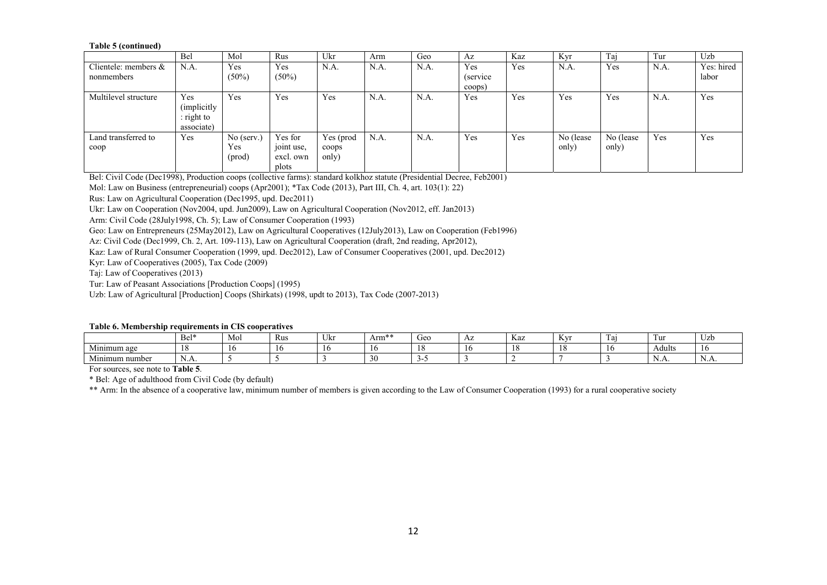#### **Table 5 (continued)**

|                         | Bel         | Mol          | Rus        | Ukr       | Arm  | Geo  | Az        | Kaz | Kyr       | Tai       | Tur  | Uzb        |
|-------------------------|-------------|--------------|------------|-----------|------|------|-----------|-----|-----------|-----------|------|------------|
| Clientele: members $\&$ | N.A.        | Yes          | Yes        | N.A.      | N.A. | N.A. | Yes       | Yes | N.A.      | Yes       | N.A. | Yes: hired |
| nonmembers              |             | $(50\%)$     | $(50\%)$   |           |      |      | (service) |     |           |           |      | labor      |
|                         |             |              |            |           |      |      | coops)    |     |           |           |      |            |
| Multilevel structure    | Yes         | Yes          | Yes        | Yes       | N.A. | N.A. | Yes       | Yes | Yes       | Yes       | N.A. | Yes        |
|                         | (implicitly |              |            |           |      |      |           |     |           |           |      |            |
|                         | : right to  |              |            |           |      |      |           |     |           |           |      |            |
|                         | associate)  |              |            |           |      |      |           |     |           |           |      |            |
| Land transferred to     | Yes         | $No$ (serv.) | Yes for    | Yes (prod | N.A. | N.A. | Yes       | Yes | No (lease | No (lease | Yes  | Yes        |
| $\rm{coop}$             |             | Yes          | joint use, | coops     |      |      |           |     | only)     | only)     |      |            |
|                         |             | (prod)       | excl. own  | only)     |      |      |           |     |           |           |      |            |
|                         |             |              | plots      |           |      |      |           |     |           |           |      |            |

Bel: Civil Code (Dec1998), Production coops (collective farms): standard kolkhoz statute (Presidential Decree, Feb2001)

Mol: Law on Business (entrepreneurial) coops (Apr2001); \*Tax Code (2013), Part III, Ch. 4, art. 103(1): 22)

Rus: Law on Agricultural Cooperation (Dec1995, upd. Dec2011)

Ukr: Law on Cooperation (Nov2004, upd. Jun2009), Law on Agricultural Cooperation (Nov2012, eff. Jan2013)

Arm: Civil Code (28July1998, Ch. 5); Law of Consumer Cooperation (1993)

Geo: Law on Entrepreneurs (25May2012), Law on Agricultural Cooperatives (12July2013), Law on Cooperation (Feb1996)

Az: Civil Code (Dec1999, Ch. 2, Art. 109-113), Law on Agricultural Cooperation (draft, 2nd reading, Apr2012),

Kaz: Law of Rural Consumer Cooperation (1999, upd. Dec2012), Law of Consumer Cooperatives (2001, upd. Dec2012)

Kyr: Law of Cooperatives (2005), Tax Code (2009)

Taj: Law of Cooperatives (2013)

Tur: Law of Peasant Associations [Production Coops] (1995)

Uzb: Law of Agricultural [Production] Coops (Shirkats) (1998, updt to 2013), Tax Code (2007-2013)

#### **Table 6. Membership requirements in CIS cooperatives**

|                                  | Bel*          | Mol | Rus | ∪M | ----<br>Arm* | Geo | AΖ | Kaz | T<br>JΥ | 1 a 1 | Tur    | $\sim$<br>UZD |
|----------------------------------|---------------|-----|-----|----|--------------|-----|----|-----|---------|-------|--------|---------------|
| Minimum age                      |               | -10 |     |    |              |     |    |     |         |       | Adults |               |
| <b>A</b> $f^*$<br>Minimum number | <b>1.1 L.</b> |     |     |    |              |     |    |     |         |       | 11.LL  | 11.LL         |

For sources, see note to **Table 5**.

\* Bel: Age of adulthood from Civil Code (by default)

\*\* Arm: In the absence of a cooperative law, minimum number of members is given according to the Law of Consumer Cooperation (1993) for a rural cooperative society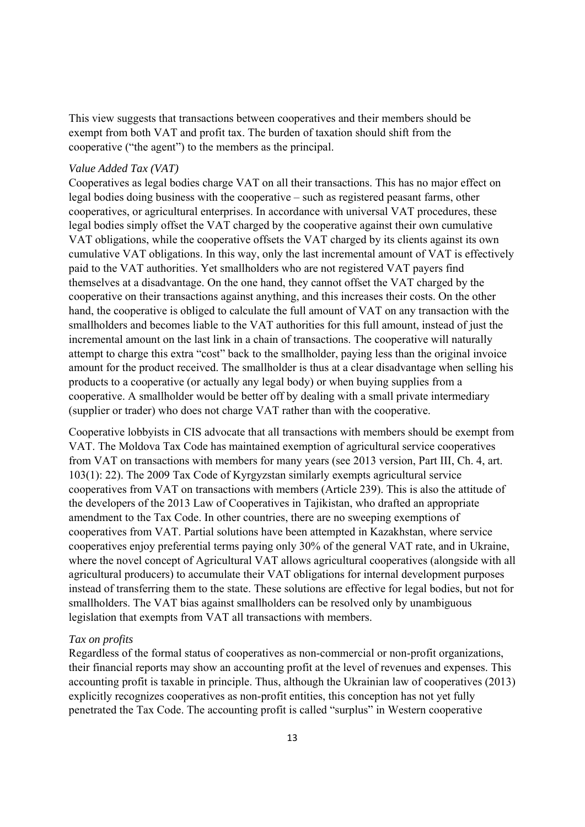This view suggests that transactions between cooperatives and their members should be exempt from both VAT and profit tax. The burden of taxation should shift from the cooperative ("the agent") to the members as the principal.

### *Value Added Tax (VAT)*

Cooperatives as legal bodies charge VAT on all their transactions. This has no major effect on legal bodies doing business with the cooperative – such as registered peasant farms, other cooperatives, or agricultural enterprises. In accordance with universal VAT procedures, these legal bodies simply offset the VAT charged by the cooperative against their own cumulative VAT obligations, while the cooperative offsets the VAT charged by its clients against its own cumulative VAT obligations. In this way, only the last incremental amount of VAT is effectively paid to the VAT authorities. Yet smallholders who are not registered VAT payers find themselves at a disadvantage. On the one hand, they cannot offset the VAT charged by the cooperative on their transactions against anything, and this increases their costs. On the other hand, the cooperative is obliged to calculate the full amount of VAT on any transaction with the smallholders and becomes liable to the VAT authorities for this full amount, instead of just the incremental amount on the last link in a chain of transactions. The cooperative will naturally attempt to charge this extra "cost" back to the smallholder, paying less than the original invoice amount for the product received. The smallholder is thus at a clear disadvantage when selling his products to a cooperative (or actually any legal body) or when buying supplies from a cooperative. A smallholder would be better off by dealing with a small private intermediary (supplier or trader) who does not charge VAT rather than with the cooperative.

Cooperative lobbyists in CIS advocate that all transactions with members should be exempt from VAT. The Moldova Tax Code has maintained exemption of agricultural service cooperatives from VAT on transactions with members for many years (see 2013 version, Part III, Ch. 4, art. 103(1): 22). The 2009 Tax Code of Kyrgyzstan similarly exempts agricultural service cooperatives from VAT on transactions with members (Article 239). This is also the attitude of the developers of the 2013 Law of Cooperatives in Tajikistan, who drafted an appropriate amendment to the Tax Code. In other countries, there are no sweeping exemptions of cooperatives from VAT. Partial solutions have been attempted in Kazakhstan, where service cooperatives enjoy preferential terms paying only 30% of the general VAT rate, and in Ukraine, where the novel concept of Agricultural VAT allows agricultural cooperatives (alongside with all agricultural producers) to accumulate their VAT obligations for internal development purposes instead of transferring them to the state. These solutions are effective for legal bodies, but not for smallholders. The VAT bias against smallholders can be resolved only by unambiguous legislation that exempts from VAT all transactions with members.

#### *Tax on profits*

Regardless of the formal status of cooperatives as non-commercial or non-profit organizations, their financial reports may show an accounting profit at the level of revenues and expenses. This accounting profit is taxable in principle. Thus, although the Ukrainian law of cooperatives (2013) explicitly recognizes cooperatives as non-profit entities, this conception has not yet fully penetrated the Tax Code. The accounting profit is called "surplus" in Western cooperative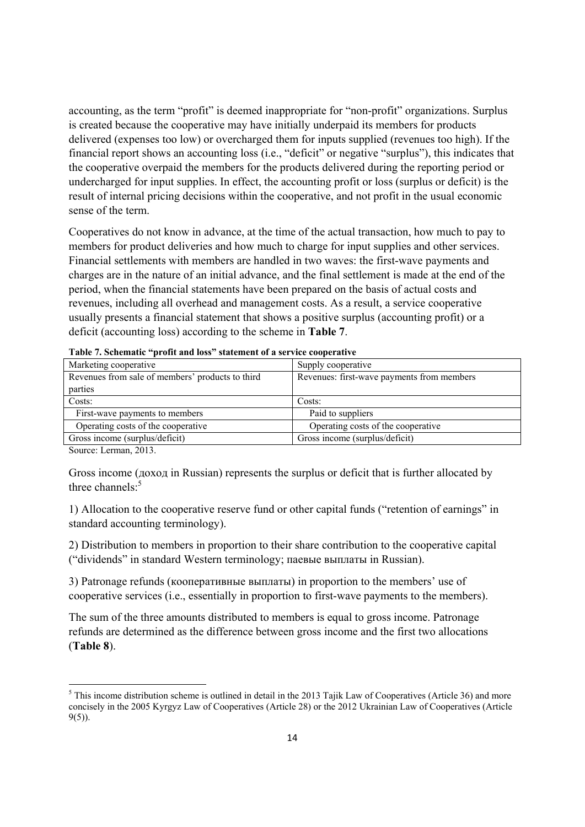accounting, as the term "profit" is deemed inappropriate for "non-profit" organizations. Surplus is created because the cooperative may have initially underpaid its members for products delivered (expenses too low) or overcharged them for inputs supplied (revenues too high). If the financial report shows an accounting loss (i.e., "deficit" or negative "surplus"), this indicates that the cooperative overpaid the members for the products delivered during the reporting period or undercharged for input supplies. In effect, the accounting profit or loss (surplus or deficit) is the result of internal pricing decisions within the cooperative, and not profit in the usual economic sense of the term.

Cooperatives do not know in advance, at the time of the actual transaction, how much to pay to members for product deliveries and how much to charge for input supplies and other services. Financial settlements with members are handled in two waves: the first-wave payments and charges are in the nature of an initial advance, and the final settlement is made at the end of the period, when the financial statements have been prepared on the basis of actual costs and revenues, including all overhead and management costs. As a result, a service cooperative usually presents a financial statement that shows a positive surplus (accounting profit) or a deficit (accounting loss) according to the scheme in **Table 7**.

| Marketing cooperative                            | Supply cooperative                         |
|--------------------------------------------------|--------------------------------------------|
| Revenues from sale of members' products to third | Revenues: first-wave payments from members |
| parties                                          |                                            |
| Costs:                                           | Costs:                                     |
| First-wave payments to members                   | Paid to suppliers                          |
| Operating costs of the cooperative               | Operating costs of the cooperative         |
| Gross income (surplus/deficit)                   | Gross income (surplus/deficit)             |

| Table 7. Schematic "profit and loss" statement of a service cooperative |  |  |  |  |  |  |  |  |  |  |
|-------------------------------------------------------------------------|--|--|--|--|--|--|--|--|--|--|
|-------------------------------------------------------------------------|--|--|--|--|--|--|--|--|--|--|

Source: Lerman, 2013.

Gross income (доход in Russian) represents the surplus or deficit that is further allocated by three channels: $5$ 

1) Allocation to the cooperative reserve fund or other capital funds ("retention of earnings" in standard accounting terminology).

2) Distribution to members in proportion to their share contribution to the cooperative capital ("dividends" in standard Western terminology; паевые выплаты in Russian).

3) Patronage refunds (кооперативные выплаты) in proportion to the members' use of cooperative services (i.e., essentially in proportion to first-wave payments to the members).

The sum of the three amounts distributed to members is equal to gross income. Patronage refunds are determined as the difference between gross income and the first two allocations (**Table 8**).

 $<sup>5</sup>$  This income distribution scheme is outlined in detail in the 2013 Tajik Law of Cooperatives (Article 36) and more</sup> concisely in the 2005 Kyrgyz Law of Cooperatives (Article 28) or the 2012 Ukrainian Law of Cooperatives (Article 9(5)).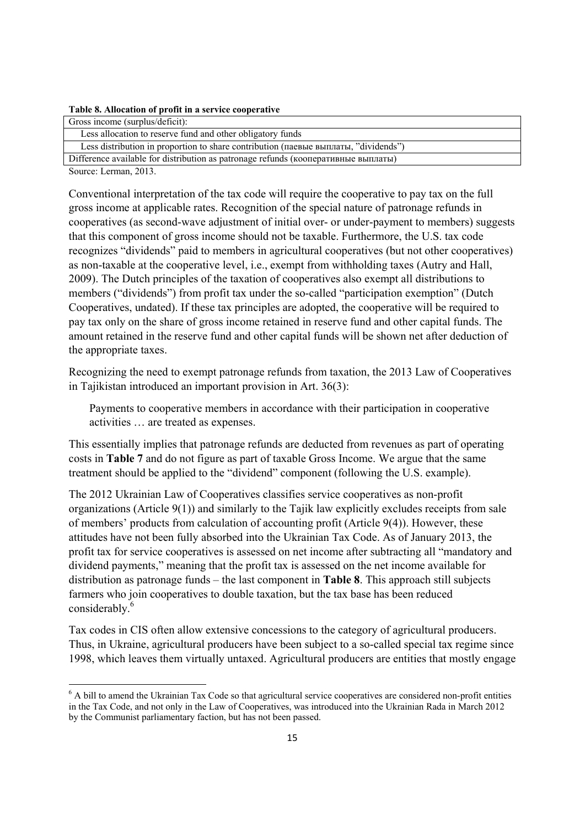|  |  |  |  | Table 8. Allocation of profit in a service cooperative |
|--|--|--|--|--------------------------------------------------------|
|  |  |  |  |                                                        |

| Gross income (surplus/deficit):                                                     |
|-------------------------------------------------------------------------------------|
| Less allocation to reserve fund and other obligatory funds                          |
| Less distribution in proportion to share contribution (паевые выплаты, "dividends") |
| Difference available for distribution as patronage refunds (кооперативные выплаты)  |
| .                                                                                   |

Source: Lerman, 2013.

Conventional interpretation of the tax code will require the cooperative to pay tax on the full gross income at applicable rates. Recognition of the special nature of patronage refunds in cooperatives (as second-wave adjustment of initial over- or under-payment to members) suggests that this component of gross income should not be taxable. Furthermore, the U.S. tax code recognizes "dividends" paid to members in agricultural cooperatives (but not other cooperatives) as non-taxable at the cooperative level, i.e., exempt from withholding taxes (Autry and Hall, 2009). The Dutch principles of the taxation of cooperatives also exempt all distributions to members ("dividends") from profit tax under the so-called "participation exemption" (Dutch Cooperatives, undated). If these tax principles are adopted, the cooperative will be required to pay tax only on the share of gross income retained in reserve fund and other capital funds. The amount retained in the reserve fund and other capital funds will be shown net after deduction of the appropriate taxes.

Recognizing the need to exempt patronage refunds from taxation, the 2013 Law of Cooperatives in Tajikistan introduced an important provision in Art. 36(3):

Payments to cooperative members in accordance with their participation in cooperative activities … are treated as expenses.

This essentially implies that patronage refunds are deducted from revenues as part of operating costs in **Table 7** and do not figure as part of taxable Gross Income. We argue that the same treatment should be applied to the "dividend" component (following the U.S. example).

The 2012 Ukrainian Law of Cooperatives classifies service cooperatives as non-profit organizations (Article 9(1)) and similarly to the Tajik law explicitly excludes receipts from sale of members' products from calculation of accounting profit (Article 9(4)). However, these attitudes have not been fully absorbed into the Ukrainian Tax Code. As of January 2013, the profit tax for service cooperatives is assessed on net income after subtracting all "mandatory and dividend payments," meaning that the profit tax is assessed on the net income available for distribution as patronage funds – the last component in **Table 8**. This approach still subjects farmers who join cooperatives to double taxation, but the tax base has been reduced considerably.<sup>6</sup>

Tax codes in CIS often allow extensive concessions to the category of agricultural producers. Thus, in Ukraine, agricultural producers have been subject to a so-called special tax regime since 1998, which leaves them virtually untaxed. Agricultural producers are entities that mostly engage

<sup>&</sup>lt;sup>6</sup> A bill to amend the Ukrainian Tax Code so that agricultural service cooperatives are considered non-profit entities in the Tax Code, and not only in the Law of Cooperatives, was introduced into the Ukrainian Rada in March 2012 by the Communist parliamentary faction, but has not been passed.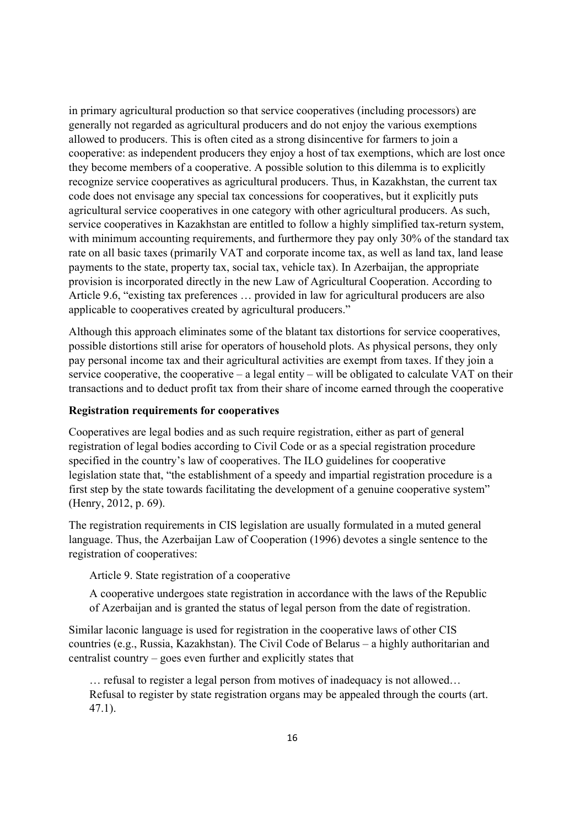in primary agricultural production so that service cooperatives (including processors) are generally not regarded as agricultural producers and do not enjoy the various exemptions allowed to producers. This is often cited as a strong disincentive for farmers to join a cooperative: as independent producers they enjoy a host of tax exemptions, which are lost once they become members of a cooperative. A possible solution to this dilemma is to explicitly recognize service cooperatives as agricultural producers. Thus, in Kazakhstan, the current tax code does not envisage any special tax concessions for cooperatives, but it explicitly puts agricultural service cooperatives in one category with other agricultural producers. As such, service cooperatives in Kazakhstan are entitled to follow a highly simplified tax-return system, with minimum accounting requirements, and furthermore they pay only 30% of the standard tax rate on all basic taxes (primarily VAT and corporate income tax, as well as land tax, land lease payments to the state, property tax, social tax, vehicle tax). In Azerbaijan, the appropriate provision is incorporated directly in the new Law of Agricultural Cooperation. According to Article 9.6, "existing tax preferences … provided in law for agricultural producers are also applicable to cooperatives created by agricultural producers."

Although this approach eliminates some of the blatant tax distortions for service cooperatives, possible distortions still arise for operators of household plots. As physical persons, they only pay personal income tax and their agricultural activities are exempt from taxes. If they join a service cooperative, the cooperative – a legal entity – will be obligated to calculate VAT on their transactions and to deduct profit tax from their share of income earned through the cooperative

## **Registration requirements for cooperatives**

Cooperatives are legal bodies and as such require registration, either as part of general registration of legal bodies according to Civil Code or as a special registration procedure specified in the country's law of cooperatives. The ILO guidelines for cooperative legislation state that, "the establishment of a speedy and impartial registration procedure is a first step by the state towards facilitating the development of a genuine cooperative system" (Henry, 2012, p. 69).

The registration requirements in CIS legislation are usually formulated in a muted general language. Thus, the Azerbaijan Law of Cooperation (1996) devotes a single sentence to the registration of cooperatives:

Article 9. State registration of a cooperative

A cooperative undergoes state registration in accordance with the laws of the Republic of Azerbaijan and is granted the status of legal person from the date of registration.

Similar laconic language is used for registration in the cooperative laws of other CIS countries (e.g., Russia, Kazakhstan). The Civil Code of Belarus – a highly authoritarian and centralist country – goes even further and explicitly states that

… refusal to register a legal person from motives of inadequacy is not allowed… Refusal to register by state registration organs may be appealed through the courts (art. 47.1).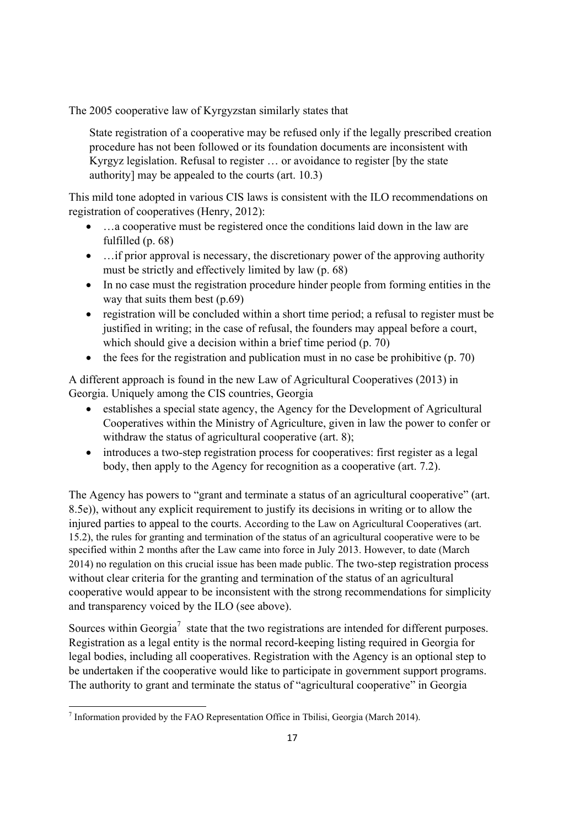The 2005 cooperative law of Kyrgyzstan similarly states that

State registration of a cooperative may be refused only if the legally prescribed creation procedure has not been followed or its foundation documents are inconsistent with Kyrgyz legislation. Refusal to register … or avoidance to register [by the state authority] may be appealed to the courts (art. 10.3)

This mild tone adopted in various CIS laws is consistent with the ILO recommendations on registration of cooperatives (Henry, 2012):

- ... a cooperative must be registered once the conditions laid down in the law are fulfilled (p. 68)
- ... if prior approval is necessary, the discretionary power of the approving authority must be strictly and effectively limited by law (p. 68)
- In no case must the registration procedure hinder people from forming entities in the way that suits them best (p.69)
- registration will be concluded within a short time period; a refusal to register must be justified in writing; in the case of refusal, the founders may appeal before a court, which should give a decision within a brief time period (p. 70)
- the fees for the registration and publication must in no case be prohibitive  $(p. 70)$

A different approach is found in the new Law of Agricultural Cooperatives (2013) in Georgia. Uniquely among the CIS countries, Georgia

- establishes a special state agency, the Agency for the Development of Agricultural Cooperatives within the Ministry of Agriculture, given in law the power to confer or withdraw the status of agricultural cooperative (art. 8);
- introduces a two-step registration process for cooperatives: first register as a legal body, then apply to the Agency for recognition as a cooperative (art. 7.2).

The Agency has powers to "grant and terminate a status of an agricultural cooperative" (art. 8.5e)), without any explicit requirement to justify its decisions in writing or to allow the injured parties to appeal to the courts. According to the Law on Agricultural Cooperatives (art. 15.2), the rules for granting and termination of the status of an agricultural cooperative were to be specified within 2 months after the Law came into force in July 2013. However, to date (March 2014) no regulation on this crucial issue has been made public. The two-step registration process without clear criteria for the granting and termination of the status of an agricultural cooperative would appear to be inconsistent with the strong recommendations for simplicity and transparency voiced by the ILO (see above).

Sources within Georgia<sup>7</sup> state that the two registrations are intended for different purposes. Registration as a legal entity is the normal record-keeping listing required in Georgia for legal bodies, including all cooperatives. Registration with the Agency is an optional step to be undertaken if the cooperative would like to participate in government support programs. The authority to grant and terminate the status of "agricultural cooperative" in Georgia

<sup>&</sup>lt;sup>7</sup> Information provided by the FAO Representation Office in Tbilisi, Georgia (March 2014).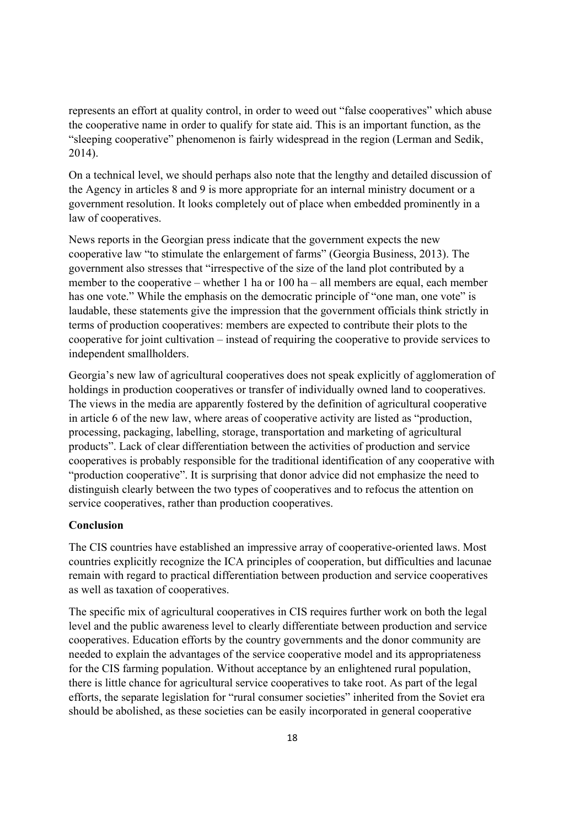represents an effort at quality control, in order to weed out "false cooperatives" which abuse the cooperative name in order to qualify for state aid. This is an important function, as the "sleeping cooperative" phenomenon is fairly widespread in the region (Lerman and Sedik, 2014).

On a technical level, we should perhaps also note that the lengthy and detailed discussion of the Agency in articles 8 and 9 is more appropriate for an internal ministry document or a government resolution. It looks completely out of place when embedded prominently in a law of cooperatives.

News reports in the Georgian press indicate that the government expects the new cooperative law "to stimulate the enlargement of farms" (Georgia Business, 2013). The government also stresses that "irrespective of the size of the land plot contributed by a member to the cooperative – whether 1 ha or 100 ha – all members are equal, each member has one vote." While the emphasis on the democratic principle of "one man, one vote" is laudable, these statements give the impression that the government officials think strictly in terms of production cooperatives: members are expected to contribute their plots to the cooperative for joint cultivation – instead of requiring the cooperative to provide services to independent smallholders.

Georgia's new law of agricultural cooperatives does not speak explicitly of agglomeration of holdings in production cooperatives or transfer of individually owned land to cooperatives. The views in the media are apparently fostered by the definition of agricultural cooperative in article 6 of the new law, where areas of cooperative activity are listed as "production, processing, packaging, labelling, storage, transportation and marketing of agricultural products". Lack of clear differentiation between the activities of production and service cooperatives is probably responsible for the traditional identification of any cooperative with "production cooperative". It is surprising that donor advice did not emphasize the need to distinguish clearly between the two types of cooperatives and to refocus the attention on service cooperatives, rather than production cooperatives.

## **Conclusion**

The CIS countries have established an impressive array of cooperative-oriented laws. Most countries explicitly recognize the ICA principles of cooperation, but difficulties and lacunae remain with regard to practical differentiation between production and service cooperatives as well as taxation of cooperatives.

The specific mix of agricultural cooperatives in CIS requires further work on both the legal level and the public awareness level to clearly differentiate between production and service cooperatives. Education efforts by the country governments and the donor community are needed to explain the advantages of the service cooperative model and its appropriateness for the CIS farming population. Without acceptance by an enlightened rural population, there is little chance for agricultural service cooperatives to take root. As part of the legal efforts, the separate legislation for "rural consumer societies" inherited from the Soviet era should be abolished, as these societies can be easily incorporated in general cooperative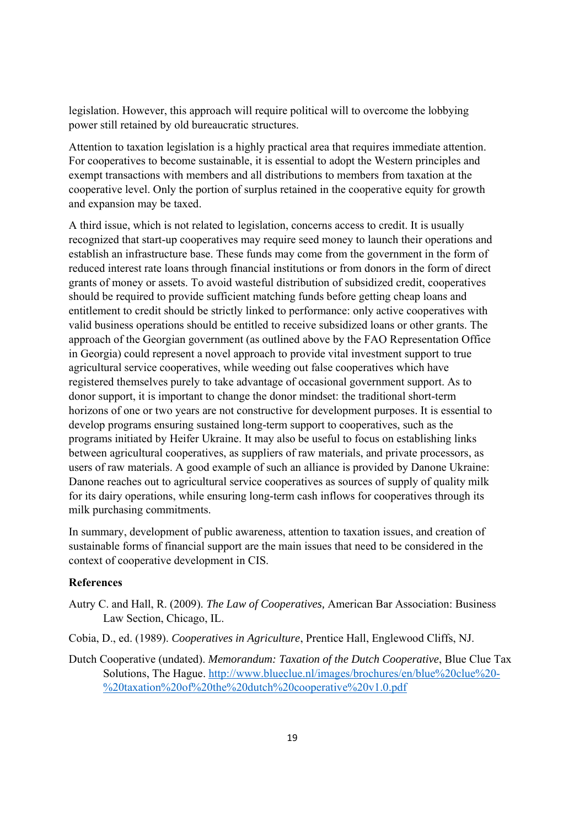legislation. However, this approach will require political will to overcome the lobbying power still retained by old bureaucratic structures.

Attention to taxation legislation is a highly practical area that requires immediate attention. For cooperatives to become sustainable, it is essential to adopt the Western principles and exempt transactions with members and all distributions to members from taxation at the cooperative level. Only the portion of surplus retained in the cooperative equity for growth and expansion may be taxed.

A third issue, which is not related to legislation, concerns access to credit. It is usually recognized that start-up cooperatives may require seed money to launch their operations and establish an infrastructure base. These funds may come from the government in the form of reduced interest rate loans through financial institutions or from donors in the form of direct grants of money or assets. To avoid wasteful distribution of subsidized credit, cooperatives should be required to provide sufficient matching funds before getting cheap loans and entitlement to credit should be strictly linked to performance: only active cooperatives with valid business operations should be entitled to receive subsidized loans or other grants. The approach of the Georgian government (as outlined above by the FAO Representation Office in Georgia) could represent a novel approach to provide vital investment support to true agricultural service cooperatives, while weeding out false cooperatives which have registered themselves purely to take advantage of occasional government support. As to donor support, it is important to change the donor mindset: the traditional short-term horizons of one or two years are not constructive for development purposes. It is essential to develop programs ensuring sustained long-term support to cooperatives, such as the programs initiated by Heifer Ukraine. It may also be useful to focus on establishing links between agricultural cooperatives, as suppliers of raw materials, and private processors, as users of raw materials. A good example of such an alliance is provided by Danone Ukraine: Danone reaches out to agricultural service cooperatives as sources of supply of quality milk for its dairy operations, while ensuring long-term cash inflows for cooperatives through its milk purchasing commitments.

In summary, development of public awareness, attention to taxation issues, and creation of sustainable forms of financial support are the main issues that need to be considered in the context of cooperative development in CIS.

## **References**

- Autry C. and Hall, R. (2009). *The Law of Cooperatives,* American Bar Association: Business Law Section, Chicago, IL.
- Cobia, D., ed. (1989). *Cooperatives in Agriculture*, Prentice Hall, Englewood Cliffs, NJ.
- Dutch Cooperative (undated). *Memorandum: Taxation of the Dutch Cooperative*, Blue Clue Tax Solutions, The Hague. http://www.blueclue.nl/images/brochures/en/blue%20clue%20- %20taxation%20of%20the%20dutch%20cooperative%20v1.0.pdf